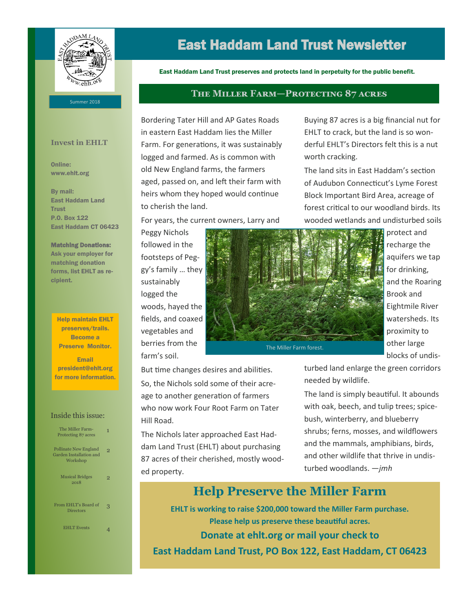

## East Haddam Land Trust Newsletter

East Haddam Land Trust preserves and protects land in perpetuity for the public benefit.

**The Miller Farm—Protecting 87 acres**

#### Summer 2018

#### **Invest in EHLT**

Online: www.ehlt.org

By mail: East Haddam Land **Trust** P.O. Box 122 East Haddam CT 06423

#### Matching Donations:

Ask your employer for matching donation forms, list EHLT as recipient.

Help maintain EHLT preserves/trails. Become a Preserve Monitor.

Email president@ehlt.org for more information.

#### Inside this issue:

| The Miller Farm-<br>Protecting 87 acres                      | 1 |
|--------------------------------------------------------------|---|
| Pollinate New England<br>Garden Installation and<br>Workshop | っ |
| <b>Musical Bridges</b><br>2018                               |   |
| From EHLT's Board of<br><b>Directors</b>                     |   |
| <b>EHLT Events</b>                                           |   |

Bordering Tater Hill and AP Gates Roads in eastern East Haddam lies the Miller Farm. For generations, it was sustainably logged and farmed. As is common with old New England farms, the farmers aged, passed on, and left their farm with heirs whom they hoped would continue to cherish the land.

For years, the current owners, Larry and

Peggy Nichols followed in the footsteps of Peggy's family … they sustainably logged the woods, hayed the fields, and coaxed vegetables and berries from the farm's soil.

But time changes desires and abilities. So, the Nichols sold some of their acreage to another generation of farmers who now work Four Root Farm on Tater Hill Road.

The Nichols later approached East Haddam Land Trust (EHLT) about purchasing 87 acres of their cherished, mostly wooded property.

Buying 87 acres is a big financial nut for EHLT to crack, but the land is so wonderful EHLT's Directors felt this is a nut worth cracking.

The land sits in East Haddam's section of Audubon Connecticut's Lyme Forest Block Important Bird Area, acreage of forest critical to our woodland birds. Its wooded wetlands and undisturbed soils



protect and recharge the aquifers we tap for drinking, and the Roaring Brook and Eightmile River watersheds. Its proximity to other large blocks of undis-

turbed land enlarge the green corridors needed by wildlife.

The land is simply beautiful. It abounds with oak, beech, and tulip trees; spicebush, winterberry, and blueberry shrubs; ferns, mosses, and wildflowers and the mammals, amphibians, birds, and other wildlife that thrive in undisturbed woodlands. —*jmh*

## **Help Preserve the Miller Farm**

**EHLT is working to raise \$200,000 toward the Miller Farm purchase. Please help us preserve these beautiful acres. Donate at ehlt.org or mail your check to East Haddam Land Trust, PO Box 122, East Haddam, CT 06423**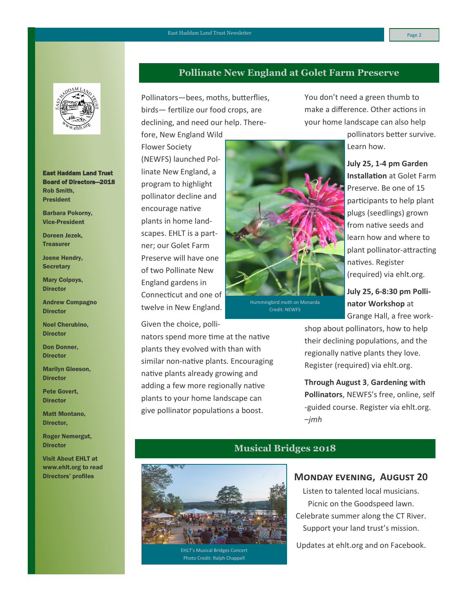

East Haddam Land Trust Board of Directors—2018 Rob Smith, President

Barbara Pokorny, Vice-President

Doreen Jezek, **Treasurer** 

Joene Hendry, **Secretary** 

Mary Colpoys, **Director** 

Andrew Compagno **Director** 

Noel Cherubino, **Director** 

Don Donner, **Director** 

Marilyn Gleeson, **Director** 

Pete Govert, **Director** 

Matt Montano, Director,

Roger Nemergut, **Director** 

Visit About EHLT at www.ehlt.org to read Directors' profiles

### **Pollinate New England at Golet Farm Preserve**

Pollinators—bees, moths, butterflies, birds— fertilize our food crops, are declining, and need our help. There-

fore, New England Wild Flower Society (NEWFS) launched Pollinate New England, a program to highlight pollinator decline and encourage native plants in home landscapes. EHLT is a partner; our Golet Farm Preserve will have one of two Pollinate New England gardens in Connecticut and one of twelve in New England.

Given the choice, polli-

nators spend more time at the native plants they evolved with than with similar non-native plants. Encouraging native plants already growing and adding a few more regionally native plants to your home landscape can give pollinator populations a boost.

You don't need a green thumb to make a difference. Other actions in your home landscape can also help pollinators better survive.

Learn how.

**July 25, 1-4 pm Garden Installation** at Golet Farm Preserve. Be one of 15 participants to help plant plugs (seedlings) grown from native seeds and learn how and where to plant pollinator-attracting natives. Register (required) via ehlt.org.

**July 25, 6-8:30 pm Pollinator Workshop** at Grange Hall, a free work-

shop about pollinators, how to help their declining populations, and the regionally native plants they love. Register (required) via ehlt.org.

**Through August 3**, **Gardening with Pollinators**, NEWFS's free, online, self -guided course. Register via ehlt.org. –*jmh*



EHLT's Musical Bridges Concert Photo Credit: Ralph Chappell

### **Musical Bridges 2018**

**Monday evening, August 20**

Listen to talented local musicians. Picnic on the Goodspeed lawn. Celebrate summer along the CT River. Support your land trust's mission.

Updates at ehlt.org and on Facebook.



Hummingbird moth on Monarda Credit: NEWFS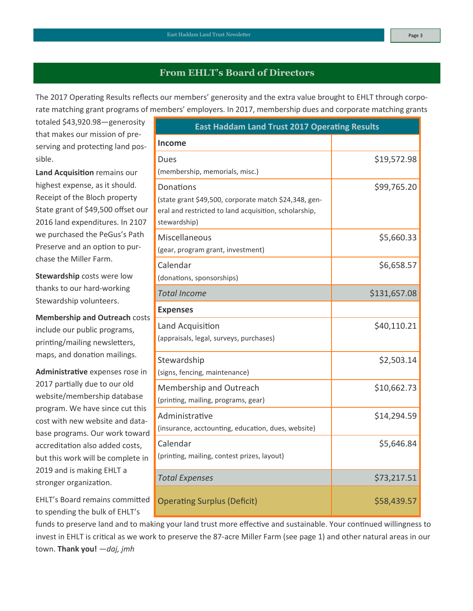## **From EHLT's Board of Directors**

The 2017 Operating Results reflects our members' generosity and the extra value brought to EHLT through corporate matching grant programs of members' employers. In 2017, membership dues and corporate matching grants

totaled \$43,920.98—generosity that makes our mission of preserving and protecting land possible.

**Land Acquisition** remains our highest expense, as it should. Receipt of the Bloch property State grant of \$49,500 offset our 2016 land expenditures. In 2107 we purchased the PeGus's Path Preserve and an option to purchase the Miller Farm.

**Stewardship** costs were low thanks to our hard-working Stewardship volunteers.

**Membership and Outreach** costs include our public programs, printing/mailing newsletters, maps, and donation mailings.

**Administrative** expenses rose in 2017 partially due to our old website/membership database program. We have since cut this cost with new website and database programs. Our work toward accreditation also added costs, but this work will be complete in 2019 and is making EHLT a stronger organization.

EHLT's Board remains committed to spending the bulk of EHLT's

| funds to preserve land and to making your land trust more effective and sustainable. Your continued willingness to    |
|-----------------------------------------------------------------------------------------------------------------------|
| invest in EHLT is critical as we work to preserve the 87-acre Miller Farm (see page 1) and other natural areas in our |
| town. <b>Thank you!</b> - <i>daj, jmh</i>                                                                             |

| <b>East Haddam Land Trust 2017 Operating Results</b>  |              |  |
|-------------------------------------------------------|--------------|--|
| <b>Income</b>                                         |              |  |
| Dues                                                  | \$19,572.98  |  |
| (membership, memorials, misc.)                        |              |  |
| Donations                                             | \$99,765.20  |  |
| (state grant \$49,500, corporate match \$24,348, gen- |              |  |
| eral and restricted to land acquisition, scholarship, |              |  |
| stewardship)                                          |              |  |
| Miscellaneous                                         | \$5,660.33   |  |
| (gear, program grant, investment)                     |              |  |
| Calendar                                              | \$6,658.57   |  |
| (donations, sponsorships)                             |              |  |
| <b>Total Income</b>                                   | \$131,657.08 |  |
| <b>Expenses</b>                                       |              |  |
| Land Acquisition                                      | \$40,110.21  |  |
| (appraisals, legal, surveys, purchases)               |              |  |
| Stewardship                                           | \$2,503.14   |  |
| (signs, fencing, maintenance)                         |              |  |
|                                                       |              |  |
| Membership and Outreach                               | \$10,662.73  |  |
| (printing, mailing, programs, gear)                   |              |  |
| Administrative                                        | \$14,294.59  |  |
| (insurance, acctounting, education, dues, website)    |              |  |
| Calendar                                              | \$5,646.84   |  |
| (printing, mailing, contest prizes, layout)           |              |  |
| <b>Total Expenses</b>                                 | \$73,217.51  |  |
|                                                       |              |  |
| <b>Operating Surplus (Deficit)</b>                    | \$58,439.57  |  |